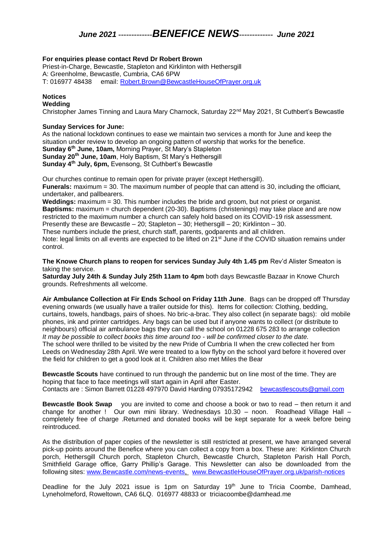# *June 2021 -------------BENEFICE NEWS------------- June 2021*

### **For enquiries please contact Revd Dr Robert Brown**

Priest-in-Charge, Bewcastle, Stapleton and Kirklinton with Hethersgill A: Greenholme, Bewcastle, Cumbria, CA6 6PW T: 016977 48438 email: [Robert.Brown@BewcastleHouseOfPrayer.org.uk](mailto:Robert.Brown@BewcastleHouseOfPrayer.org.uk)

## **Notices**

## **Wedding**

Christopher James Tinning and Laura Mary Charnock, Saturday 22<sup>nd</sup> May 2021, St Cuthbert's Bewcastle

#### **Sunday Services for June:**

As the national lockdown continues to ease we maintain two services a month for June and keep the situation under review to develop an ongoing pattern of worship that works for the benefice. **Sunday 6th June, 10am,** Morning Prayer, St Mary's Stapleton **Sunday 20th June, 10am**, Holy Baptism, St Mary's Hethersgill **Sunday 4th July, 6pm,** Evensong, St Cuthbert's Bewcastle

Our churches continue to remain open for private prayer (except Hethersgill). **Funerals:** maximum = 30. The maximum number of people that can attend is 30, including the officiant, undertaker, and pallbearers.

**Weddings:** maximum = 30. This number includes the bride and groom, but not priest or organist. **Baptisms:** maximum = church dependent (20-30). Baptisms (christenings) may take place and are now restricted to the maximum number a church can safely hold based on its COVID-19 risk assessment. Presently these are Bewcastle – 20; Stapleton – 30; Hethersgill – 20; Kirklinton – 30.

These numbers include the priest, church staff, parents, godparents and all children.

Note: legal limits on all events are expected to be lifted on 21<sup>st</sup> June if the COVID situation remains under control.

**The Knowe Church plans to reopen for services Sunday July 4th 1.45 pm** Rev'd Alister Smeaton is taking the service.

**Saturday July 24th & Sunday July 25th 11am to 4pm** both days Bewcastle Bazaar in Knowe Church grounds. Refreshments all welcome.

**Air Ambulance Collection at Fir Ends School on Friday 11th June**. Bags can be dropped off Thursday evening onwards (we usually have a trailer outside for this). Items for collection: Clothing, bedding, curtains, towels, handbags, pairs of shoes. No bric-a-brac. They also collect (in separate bags): old mobile phones, ink and printer cartridges. Any bags can be used but if anyone wants to collect (or distribute to neighbours) official air ambulance bags they can call the school on 01228 675 283 to arrange collection *It may be possible to collect books this time around too - will be confirmed closer to the date.* The school were thrilled to be visited by the new Pride of Cumbria II when the crew collected her from Leeds on Wednesday 28th April. We were treated to a low flyby on the school yard before it hovered over the field for children to get a good look at it. Children also met Miles the Bear

**Bewcastle Scouts** have continued to run through the pandemic but on line most of the time. They are hoping that face to face meetings will start again in April after Easter. Contacts are : Simon Barrett 01228 497970 David Harding 07935172942 [bewcastlescouts@gmail.com](mailto:bewcastlescouts@gmail.com)

**Bewcastle Book Swap** you are invited to come and choose a book or two to read – then return it and change for another ! Our own mini library. Wednesdays 10.30 – noon. Roadhead Village Hall – completely free of charge .Returned and donated books will be kept separate for a week before being reintroduced.

As the distribution of paper copies of the newsletter is still restricted at present, we have arranged several pick-up points around the Benefice where you can collect a copy from a box. These are: Kirklinton Church porch, Hethersgill Church porch, Stapleton Church, Bewcastle Church, Stapleton Parish Hall Porch, Smithfield Garage office, Garry Phillip's Garage. This Newsletter can also be downloaded from the following sites: [www.Bewcastle.com/news-events,](http://www.bewcastle.com/news-events) [www.BewcastleHouseOfPrayer.org.uk/parish-notices](http://www.bewcastlehouseofprayer.org.uk/parish-notices)

Deadline for the July 2021 issue is 1pm on Saturday 19th June to Tricia Coombe, Damhead, Lyneholmeford, Roweltown, CA6 6LQ. 016977 48833 or triciacoombe@damhead.me